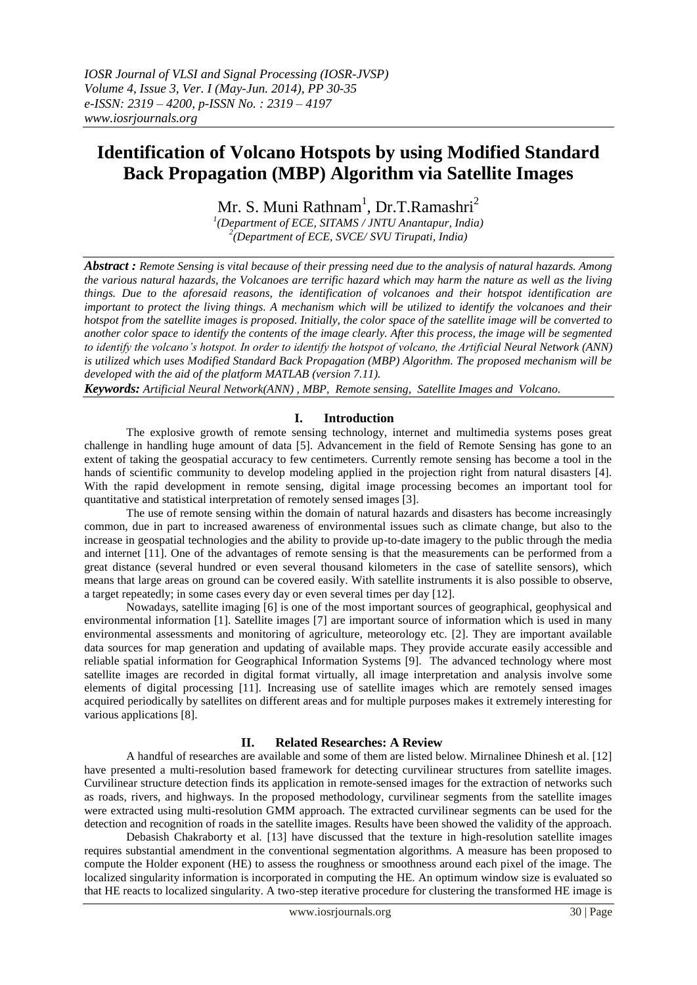# **Identification of Volcano Hotspots by using Modified Standard Back Propagation (MBP) Algorithm via Satellite Images**

Mr. S. Muni Rathnam $^1$ , Dr.T.Ramashri $^2$ 

*1 (Department of ECE, SITAMS / JNTU Anantapur, India) 2 (Department of ECE, SVCE/ SVU Tirupati, India)*

*Abstract : Remote Sensing is vital because of their pressing need due to the analysis of natural hazards. Among the various natural hazards, the Volcanoes are terrific hazard which may harm the nature as well as the living things. Due to the aforesaid reasons, the identification of volcanoes and their hotspot identification are important to protect the living things. A mechanism which will be utilized to identify the volcanoes and their hotspot from the satellite images is proposed. Initially, the color space of the satellite image will be converted to another color space to identify the contents of the image clearly. After this process, the image will be segmented to identify the volcano's hotspot. In order to identify the hotspot of volcano, the Artificial Neural Network (ANN) is utilized which uses Modified Standard Back Propagation (MBP) Algorithm. The proposed mechanism will be developed with the aid of the platform MATLAB (version 7.11).*

*Keywords: Artificial Neural Network(ANN) , MBP, Remote sensing, Satellite Images and Volcano.*

#### **I. Introduction**

The explosive growth of remote sensing technology, internet and multimedia systems poses great challenge in handling huge amount of data [5]. Advancement in the field of Remote Sensing has gone to an extent of taking the geospatial accuracy to few centimeters. Currently remote sensing has become a tool in the hands of scientific community to develop modeling applied in the projection right from natural disasters [4]. With the rapid development in remote sensing, digital image processing becomes an important tool for quantitative and statistical interpretation of remotely sensed images [3].

The use of remote sensing within the domain of natural hazards and disasters has become increasingly common, due in part to increased awareness of environmental issues such as climate change, but also to the increase in geospatial technologies and the ability to provide up-to-date imagery to the public through the media and internet [11]. One of the advantages of remote sensing is that the measurements can be performed from a great distance (several hundred or even several thousand kilometers in the case of satellite sensors), which means that large areas on ground can be covered easily. With satellite instruments it is also possible to observe, a target repeatedly; in some cases every day or even several times per day [12].

Nowadays, satellite imaging [6] is one of the most important sources of geographical, geophysical and environmental information [1]. Satellite images [7] are important source of information which is used in many environmental assessments and monitoring of agriculture, meteorology etc. [2]. They are important available data sources for map generation and updating of available maps. They provide accurate easily accessible and reliable spatial information for Geographical Information Systems [9]. The advanced technology where most satellite images are recorded in digital format virtually, all image interpretation and analysis involve some elements of digital processing [11]. Increasing use of satellite images which are remotely sensed images acquired periodically by satellites on different areas and for multiple purposes makes it extremely interesting for various applications [8].

# **II. Related Researches: A Review**

A handful of researches are available and some of them are listed below. Mirnalinee Dhinesh et al. [12] have presented a multi-resolution based framework for detecting curvilinear structures from satellite images. Curvilinear structure detection finds its application in remote-sensed images for the extraction of networks such as roads, rivers, and highways. In the proposed methodology, curvilinear segments from the satellite images were extracted using multi-resolution GMM approach. The extracted curvilinear segments can be used for the detection and recognition of roads in the satellite images. Results have been showed the validity of the approach.

Debasish Chakraborty et al. [13] have discussed that the texture in high-resolution satellite images requires substantial amendment in the conventional segmentation algorithms. A measure has been proposed to compute the Holder exponent (HE) to assess the roughness or smoothness around each pixel of the image. The localized singularity information is incorporated in computing the HE. An optimum window size is evaluated so that HE reacts to localized singularity. A two-step iterative procedure for clustering the transformed HE image is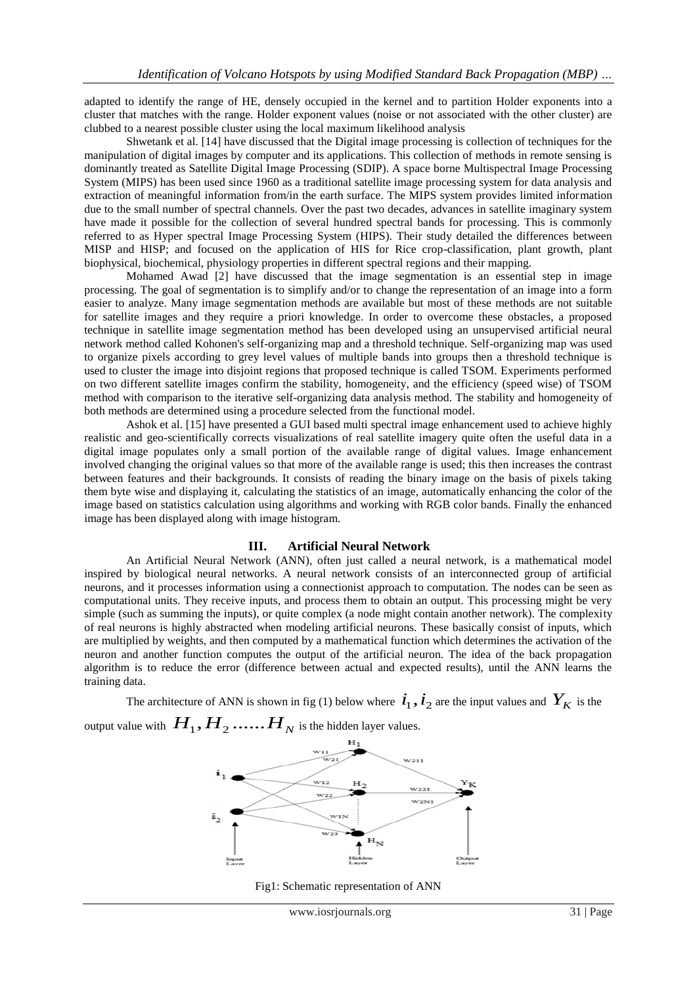adapted to identify the range of HE, densely occupied in the kernel and to partition Holder exponents into a cluster that matches with the range. Holder exponent values (noise or not associated with the other cluster) are clubbed to a nearest possible cluster using the local maximum likelihood analysis

Shwetank et al. [14] have discussed that the Digital image processing is collection of techniques for the manipulation of digital images by computer and its applications. This collection of methods in remote sensing is dominantly treated as Satellite Digital Image Processing (SDIP). A space borne Multispectral Image Processing System (MIPS) has been used since 1960 as a traditional satellite image processing system for data analysis and extraction of meaningful information from/in the earth surface. The MIPS system provides limited information due to the small number of spectral channels. Over the past two decades, advances in satellite imaginary system have made it possible for the collection of several hundred spectral bands for processing. This is commonly referred to as Hyper spectral Image Processing System (HIPS). Their study detailed the differences between MISP and HISP; and focused on the application of HIS for Rice crop-classification, plant growth, plant biophysical, biochemical, physiology properties in different spectral regions and their mapping.

Mohamed Awad [2] have discussed that the image segmentation is an essential step in image processing. The goal of segmentation is to simplify and/or to change the representation of an image into a form easier to analyze. Many image segmentation methods are available but most of these methods are not suitable for satellite images and they require a priori knowledge. In order to overcome these obstacles, a proposed technique in satellite image segmentation method has been developed using an unsupervised artificial neural network method called Kohonen's self-organizing map and a threshold technique. Self-organizing map was used to organize pixels according to grey level values of multiple bands into groups then a threshold technique is used to cluster the image into disjoint regions that proposed technique is called TSOM. Experiments performed on two different satellite images confirm the stability, homogeneity, and the efficiency (speed wise) of TSOM method with comparison to the iterative self-organizing data analysis method. The stability and homogeneity of both methods are determined using a procedure selected from the functional model.

Ashok et al. [15] have presented a GUI based multi spectral image enhancement used to achieve highly realistic and geo-scientifically corrects visualizations of real satellite imagery quite often the useful data in a digital image populates only a small portion of the available range of digital values. Image enhancement involved changing the original values so that more of the available range is used; this then increases the contrast between features and their backgrounds. It consists of reading the binary image on the basis of pixels taking them byte wise and displaying it, calculating the statistics of an image, automatically enhancing the color of the image based on statistics calculation using algorithms and working with RGB color bands. Finally the enhanced image has been displayed along with image histogram.

#### **III. Artificial Neural Network**

An Artificial Neural Network (ANN), often just called a neural network, is a mathematical model inspired by biological neural networks. A neural network consists of an interconnected group of artificial neurons, and it processes information using a connectionist approach to computation. The nodes can be seen as computational units. They receive inputs, and process them to obtain an output. This processing might be very simple (such as summing the inputs), or quite complex (a node might contain another network). The complexity of real neurons is highly abstracted when modeling artificial neurons. These basically consist of inputs, which are multiplied by weights, and then computed by a mathematical function which determines the activation of the neuron and another function computes the output of the artificial neuron. The idea of the back propagation algorithm is to reduce the error (difference between actual and expected results), until the ANN learns the training data.

The architecture of ANN is shown in fig (1) below where  $\dot{i}_1$ ,  $\dot{i}_2$  are the input values and  $Y_K$  is the output value with  $\,H_{1},H_{2}\,......H_{N}$  is the hidden layer values.



Fig1: Schematic representation of ANN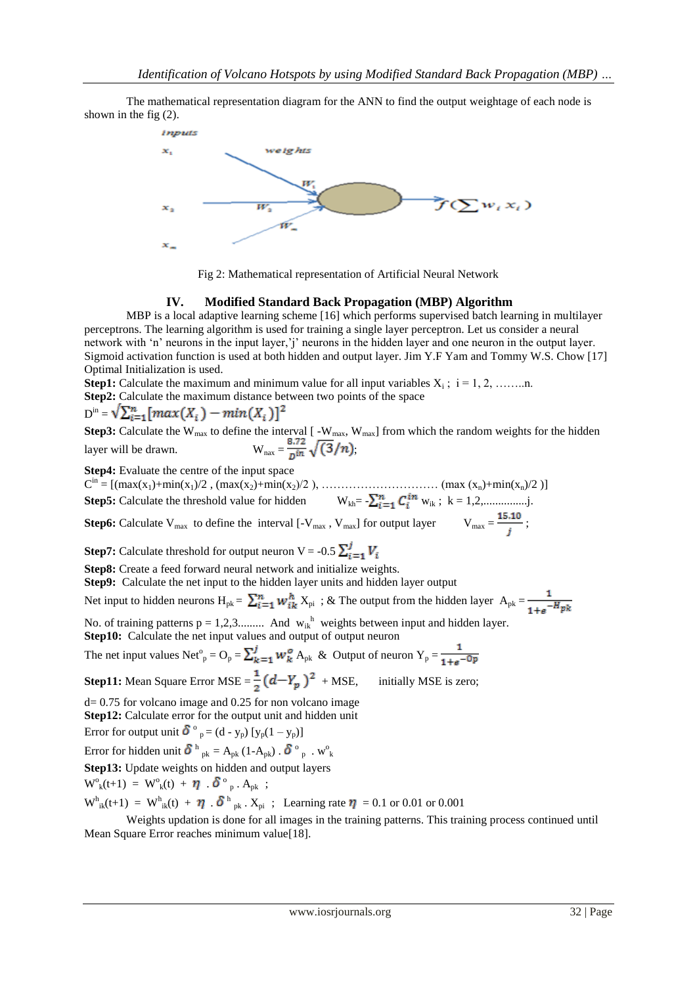The mathematical representation diagram for the ANN to find the output weightage of each node is shown in the fig (2).





#### **IV. Modified Standard Back Propagation (MBP) Algorithm**

MBP is a local adaptive learning scheme [16] which performs supervised batch learning in multilayer perceptrons. The learning algorithm is used for training a single layer perceptron. Let us consider a neural network with 'n' neurons in the input layer,'j' neurons in the hidden layer and one neuron in the output layer. Sigmoid activation function is used at both hidden and output layer. Jim Y.F Yam and Tommy W.S. Chow [17] Optimal Initialization is used.

**Step1:** Calculate the maximum and minimum value for all input variables  $X_i$ ;  $i = 1, 2, \ldots, n$ . **Step2:** Calculate the maximum distance between two points of the space

$$
D^{in} = \sqrt{\sum_{i=1}^{n} [max(X_i) - min(X_i)]^2}
$$

**Step3:** Calculate the W<sub>max</sub> to define the interval  $[$  -W<sub>max</sub>, W<sub>max</sub>] from which the random weights for the hidden layer will be drawn.  $W_{\text{max}} = \frac{1}{p \ln N} \sqrt{(3/n)}$ ;

**Step4:** Evaluate the centre of the input space

 $C^{in} = [(\max(x_1) + \min(x_1)/2, (\max(x_2) + \min(x_2)/2), \dots, (\max(x_n) + \min(x_n)/2)]$ **Step5:** Calculate the threshold value for hidden  $W_{kh} = \sum_{i=1}^{n} C_i^{in} w_{ik}$ ;  $k = 1, 2, \dots, \dots, n$ .

**Step6:** Calculate V<sub>max</sub> to define the interval  $[-V_{max}, V_{max}]$  for output layer  $V_{max} = \frac{15.10}{t}$ ;

**Step7:** Calculate threshold for output neuron V = -0.5  $\sum_{i=1}^{j} V_i$ 

**Step8:** Create a feed forward neural network and initialize weights.

**Step9:** Calculate the net input to the hidden layer units and hidden layer output

Net input to hidden neurons  $H_{pk} = \sum_{i=1}^{n} w_{ik}^{h} X_{pi}$ ; & The output from the hidden layer  $A_{pk} = \frac{1}{1 + e^{-H}pk}$ 

No. of training patterns  $p = 1, 2, 3, \dots$  And  $w_{ik}$ <sup>h</sup> weights between input and hidden layer. **Step10:** Calculate the net input values and output of output neuron

The net input values Net<sup>o</sup><sub>p</sub> =  $O_p = \sum_{k=1}^{J} w_k^o A_{pk}$  & Output of neuron  $Y_p =$ 

**Step11:** Mean Square Error MSE = 
$$
\frac{1}{2}(d - Y_p)^2
$$
 + MSE, initially MSE is zero;

 $d= 0.75$  for volcano image and 0.25 for non volcano image **Step12:** Calculate error for the output unit and hidden unit

Error for output unit  $\delta^{\circ}{}_{p} = (d - y_{p}) [y_{p}(1 - y_{p})]$ 

Error for hidden unit  $\delta^h{}_{pk} = A_{pk} (1 - A_{pk})$ .  $\delta^o{}_{p}$ . w<sup>o</sup><sub>k</sub>

**Step13:** Update weights on hidden and output layers

$$
W^{o}_{k}(t+1) = W^{o}_{k}(t) + \boldsymbol{\eta} \cdot \boldsymbol{\delta}^{o}_{p} \cdot A_{pk} ;
$$

 $W_{ik}^{h}(t+1) = W_{ik}^{h}(t) + \eta \cdot \delta^{h}{}_{pk}$ .  $X_{pi}$ ; Learning rate  $\eta = 0.1$  or 0.01 or 0.001

Weights updation is done for all images in the training patterns. This training process continued until Mean Square Error reaches minimum value[18].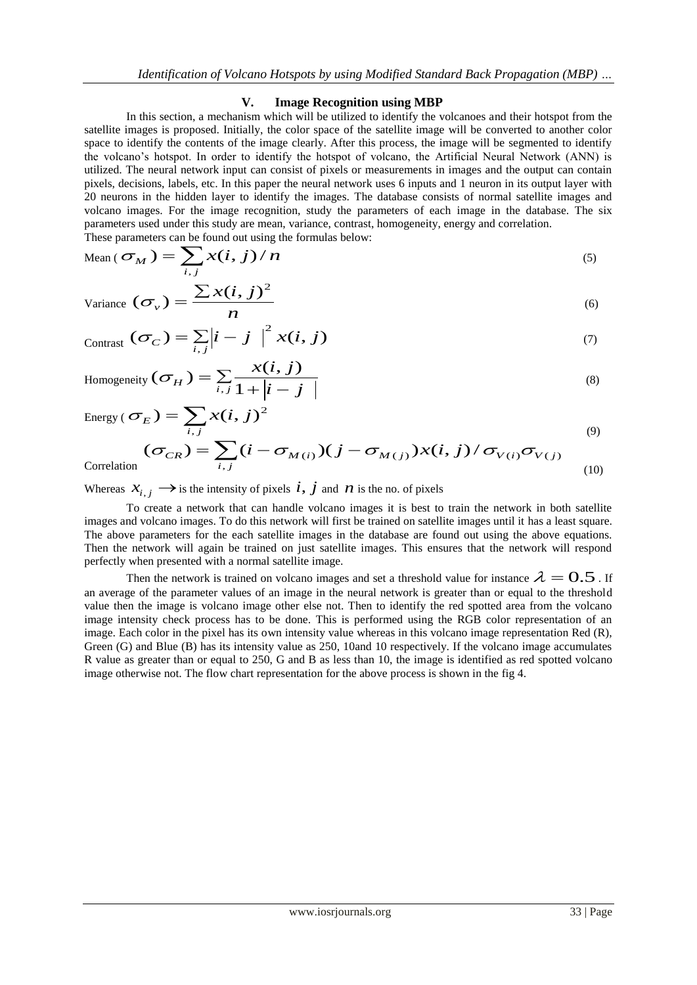#### **V. Image Recognition using MBP**

In this section, a mechanism which will be utilized to identify the volcanoes and their hotspot from the satellite images is proposed. Initially, the color space of the satellite image will be converted to another color space to identify the contents of the image clearly. After this process, the image will be segmented to identify the volcano"s hotspot. In order to identify the hotspot of volcano, the Artificial Neural Network (ANN) is utilized. The neural network input can consist of pixels or measurements in images and the output can contain pixels, decisions, labels, etc. In this paper the neural network uses 6 inputs and 1 neuron in its output layer with 20 neurons in the hidden layer to identify the images. The database consists of normal satellite images and volcano images. For the image recognition, study the parameters of each image in the database. The six parameters used under this study are mean, variance, contrast, homogeneity, energy and correlation.

These parameters can be found out using the formulas below:  
\nMean 
$$
(\sigma_M) = \sum_{i,j} x(i,j) / n
$$
 (5)

Variance 
$$
(\sigma_v)
$$
 =  $\frac{\sum x(i, j)^2}{n}$  (6)

$$
_{\text{Contrast}}\left(\sigma_{C}\right)=\sum_{i,j}\left|i-j\right|^{2}x(i,j)\tag{7}
$$

Homogeneity 
$$
(\sigma_H)
$$
 =  $\sum_{i,j} \frac{x(i,j)}{1+|i-j|}$  (8)

Energy 
$$
(\sigma_E)
$$
 =  $\sum_{i,j} x(i,j)^2$  (9)

$$
(\sigma_{CR}) = \sum_{i,j} (i - \sigma_{M(i)}) (j - \sigma_{M(j)}) x(i,j) / \sigma_{V(i)} \sigma_{V(j)}
$$
\n(9)

Correlatio

Whereas  $x_{i,j} \rightarrow$  is the intensity of pixels  $i, j$  and  $n$  is the no. of pixels

To create a network that can handle volcano images it is best to train the network in both satellite images and volcano images. To do this network will first be trained on satellite images until it has a least square. The above parameters for the each satellite images in the database are found out using the above equations. Then the network will again be trained on just satellite images. This ensures that the network will respond perfectly when presented with a normal satellite image.

Then the network is trained on volcano images and set a threshold value for instance  $\lambda = 0.5$ . If an average of the parameter values of an image in the neural network is greater than or equal to the threshold value then the image is volcano image other else not. Then to identify the red spotted area from the volcano image intensity check process has to be done. This is performed using the RGB color representation of an image. Each color in the pixel has its own intensity value whereas in this volcano image representation Red (R), Green (G) and Blue (B) has its intensity value as 250, 10and 10 respectively. If the volcano image accumulates R value as greater than or equal to 250, G and B as less than 10, the image is identified as red spotted volcano image otherwise not. The flow chart representation for the above process is shown in the fig 4.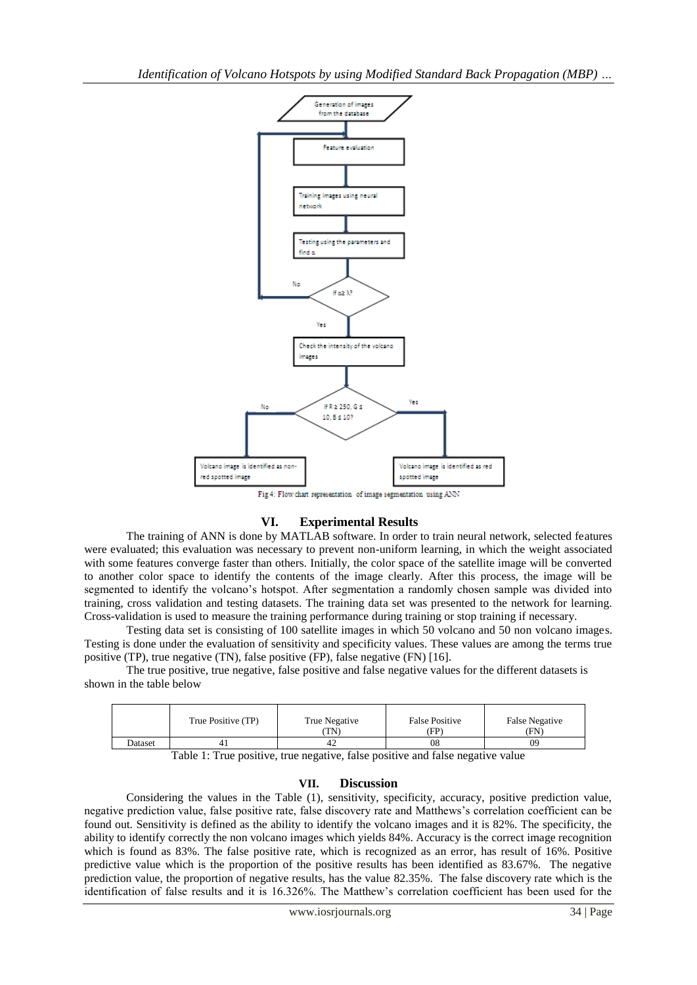

# **VI. Experimental Results**

The training of ANN is done by MATLAB software. In order to train neural network, selected features were evaluated; this evaluation was necessary to prevent non-uniform learning, in which the weight associated with some features converge faster than others. Initially, the color space of the satellite image will be converted to another color space to identify the contents of the image clearly. After this process, the image will be segmented to identify the volcano's hotspot. After segmentation a randomly chosen sample was divided into training, cross validation and testing datasets. The training data set was presented to the network for learning. Cross-validation is used to measure the training performance during training or stop training if necessary.

Testing data set is consisting of 100 satellite images in which 50 volcano and 50 non volcano images. Testing is done under the evaluation of sensitivity and specificity values. These values are among the terms true positive (TP), true negative (TN), false positive (FP), false negative (FN) [16].

The true positive, true negative, false positive and false negative values for the different datasets is shown in the table below

|         | True Positive (TP) | True Negative<br>TN) | <b>False Positive</b><br>(FP) | <b>False Negative</b><br>(FN) |
|---------|--------------------|----------------------|-------------------------------|-------------------------------|
| Dataset |                    | 42                   | 08                            | 09                            |

Table 1: True positive, true negative, false positive and false negative value

# **VII. Discussion**

Considering the values in the Table (1), sensitivity, specificity, accuracy, positive prediction value, negative prediction value, false positive rate, false discovery rate and Matthews"s correlation coefficient can be found out. Sensitivity is defined as the ability to identify the volcano images and it is 82%. The specificity, the ability to identify correctly the non volcano images which yields 84%. Accuracy is the correct image recognition which is found as 83%. The false positive rate, which is recognized as an error, has result of 16%. Positive predictive value which is the proportion of the positive results has been identified as 83.67%. The negative prediction value, the proportion of negative results, has the value 82.35%. The false discovery rate which is the identification of false results and it is 16.326%. The Matthew"s correlation coefficient has been used for the